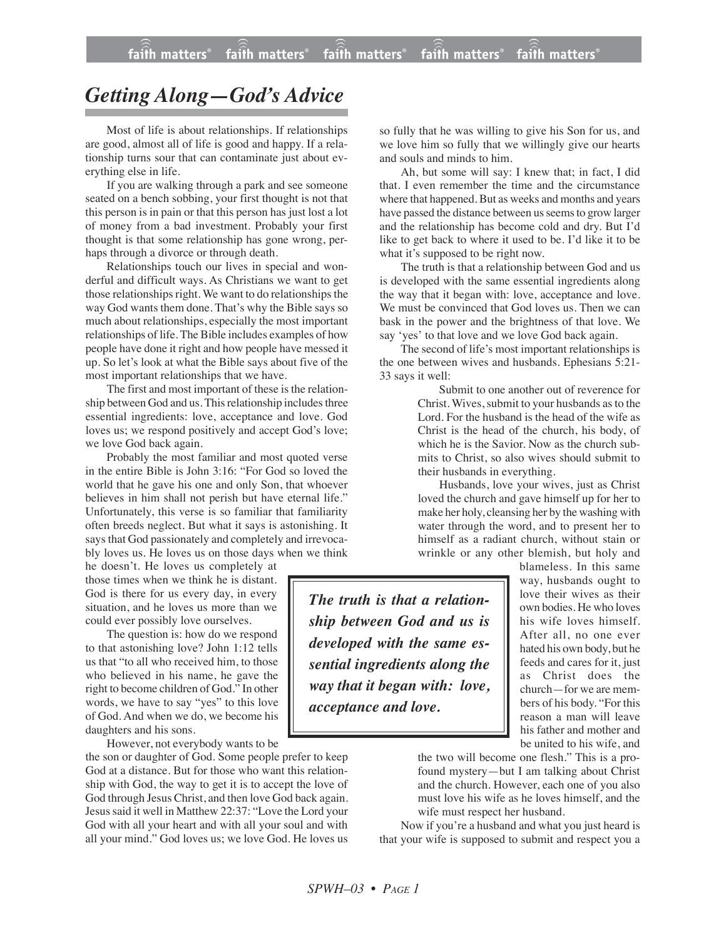## *Getting Along—God's Advice*

Most of life is about relationships. If relationships are good, almost all of life is good and happy. If a relationship turns sour that can contaminate just about everything else in life.

If you are walking through a park and see someone seated on a bench sobbing, your first thought is not that this person is in pain or that this person has just lost a lot of money from a bad investment. Probably your first thought is that some relationship has gone wrong, perhaps through a divorce or through death.

Relationships touch our lives in special and wonderful and difficult ways. As Christians we want to get those relationships right. We want to do relationships the way God wants them done. That's why the Bible says so much about relationships, especially the most important relationships of life. The Bible includes examples of how people have done it right and how people have messed it up. So let's look at what the Bible says about five of the most important relationships that we have.

The first and most important of these is the relationship between God and us. This relationship includes three essential ingredients: love, acceptance and love. God loves us; we respond positively and accept God's love; we love God back again.

Probably the most familiar and most quoted verse in the entire Bible is John 3:16: "For God so loved the world that he gave his one and only Son, that whoever believes in him shall not perish but have eternal life." Unfortunately, this verse is so familiar that familiarity often breeds neglect. But what it says is astonishing. It says that God passionately and completely and irrevocably loves us. He loves us on those days when we think

he doesn't. He loves us completely at those times when we think he is distant. God is there for us every day, in every situation, and he loves us more than we could ever possibly love ourselves.

The question is: how do we respond to that astonishing love? John 1:12 tells us that "to all who received him, to those who believed in his name, he gave the right to become children of God." In other words, we have to say "yes" to this love of God. And when we do, we become his daughters and his sons.

However, not everybody wants to be

the son or daughter of God. Some people prefer to keep God at a distance. But for those who want this relationship with God, the way to get it is to accept the love of God through Jesus Christ, and then love God back again. Jesus said it well in Matthew 22:37: "Love the Lord your God with all your heart and with all your soul and with all your mind." God loves us; we love God. He loves us so fully that he was willing to give his Son for us, and we love him so fully that we willingly give our hearts and souls and minds to him.

Ah, but some will say: I knew that; in fact, I did that. I even remember the time and the circumstance where that happened. But as weeks and months and years have passed the distance between us seems to grow larger and the relationship has become cold and dry. But I'd like to get back to where it used to be. I'd like it to be what it's supposed to be right now.

The truth is that a relationship between God and us is developed with the same essential ingredients along the way that it began with: love, acceptance and love. We must be convinced that God loves us. Then we can bask in the power and the brightness of that love. We say 'yes' to that love and we love God back again.

The second of life's most important relationships is the one between wives and husbands. Ephesians 5:21- 33 says it well:

> Submit to one another out of reverence for Christ. Wives, submit to your husbands as to the Lord. For the husband is the head of the wife as Christ is the head of the church, his body, of which he is the Savior. Now as the church submits to Christ, so also wives should submit to their husbands in everything.

> Husbands, love your wives, just as Christ loved the church and gave himself up for her to make her holy, cleansing her by the washing with water through the word, and to present her to himself as a radiant church, without stain or wrinkle or any other blemish, but holy and

*The truth is that a relationship between God and us is developed with the same essential ingredients along the way that it began with: love, acceptance and love.*

blameless. In this same way, husbands ought to love their wives as their own bodies. He who loves his wife loves himself. After all, no one ever hated his own body, but he feeds and cares for it, just as Christ does the church—for we are members of his body. "For this reason a man will leave his father and mother and be united to his wife, and

the two will become one flesh." This is a profound mystery—but I am talking about Christ and the church. However, each one of you also must love his wife as he loves himself, and the wife must respect her husband.

Now if you're a husband and what you just heard is that your wife is supposed to submit and respect you a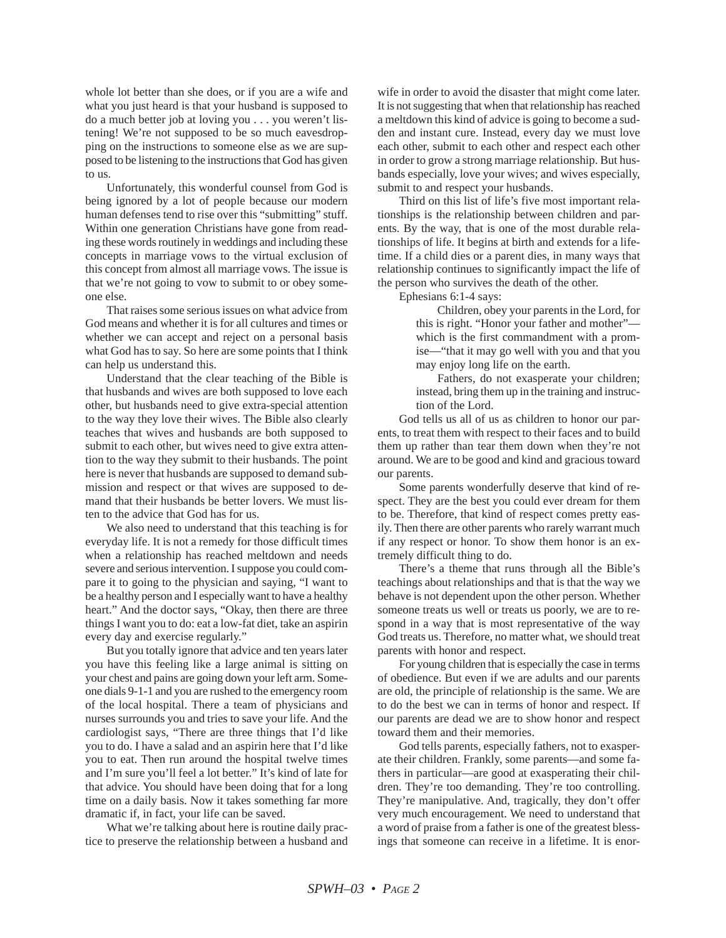whole lot better than she does, or if you are a wife and what you just heard is that your husband is supposed to do a much better job at loving you . . . you weren't listening! We're not supposed to be so much eavesdropping on the instructions to someone else as we are supposed to be listening to the instructions that God has given to us.

Unfortunately, this wonderful counsel from God is being ignored by a lot of people because our modern human defenses tend to rise over this "submitting" stuff. Within one generation Christians have gone from reading these words routinely in weddings and including these concepts in marriage vows to the virtual exclusion of this concept from almost all marriage vows. The issue is that we're not going to vow to submit to or obey someone else.

That raises some serious issues on what advice from God means and whether it is for all cultures and times or whether we can accept and reject on a personal basis what God has to say. So here are some points that I think can help us understand this.

Understand that the clear teaching of the Bible is that husbands and wives are both supposed to love each other, but husbands need to give extra-special attention to the way they love their wives. The Bible also clearly teaches that wives and husbands are both supposed to submit to each other, but wives need to give extra attention to the way they submit to their husbands. The point here is never that husbands are supposed to demand submission and respect or that wives are supposed to demand that their husbands be better lovers. We must listen to the advice that God has for us.

We also need to understand that this teaching is for everyday life. It is not a remedy for those difficult times when a relationship has reached meltdown and needs severe and serious intervention. I suppose you could compare it to going to the physician and saying, "I want to be a healthy person and I especially want to have a healthy heart." And the doctor says, "Okay, then there are three things I want you to do: eat a low-fat diet, take an aspirin every day and exercise regularly."

But you totally ignore that advice and ten years later you have this feeling like a large animal is sitting on your chest and pains are going down your left arm. Someone dials 9-1-1 and you are rushed to the emergency room of the local hospital. There a team of physicians and nurses surrounds you and tries to save your life. And the cardiologist says, "There are three things that I'd like you to do. I have a salad and an aspirin here that I'd like you to eat. Then run around the hospital twelve times and I'm sure you'll feel a lot better." It's kind of late for that advice. You should have been doing that for a long time on a daily basis. Now it takes something far more dramatic if, in fact, your life can be saved.

What we're talking about here is routine daily practice to preserve the relationship between a husband and wife in order to avoid the disaster that might come later. It is not suggesting that when that relationship has reached a meltdown this kind of advice is going to become a sudden and instant cure. Instead, every day we must love each other, submit to each other and respect each other in order to grow a strong marriage relationship. But husbands especially, love your wives; and wives especially, submit to and respect your husbands.

Third on this list of life's five most important relationships is the relationship between children and parents. By the way, that is one of the most durable relationships of life. It begins at birth and extends for a lifetime. If a child dies or a parent dies, in many ways that relationship continues to significantly impact the life of the person who survives the death of the other.

Ephesians 6:1-4 says:

Children, obey your parents in the Lord, for this is right. "Honor your father and mother" which is the first commandment with a promise—"that it may go well with you and that you may enjoy long life on the earth.

Fathers, do not exasperate your children; instead, bring them up in the training and instruction of the Lord.

God tells us all of us as children to honor our parents, to treat them with respect to their faces and to build them up rather than tear them down when they're not around. We are to be good and kind and gracious toward our parents.

Some parents wonderfully deserve that kind of respect. They are the best you could ever dream for them to be. Therefore, that kind of respect comes pretty easily. Then there are other parents who rarely warrant much if any respect or honor. To show them honor is an extremely difficult thing to do.

There's a theme that runs through all the Bible's teachings about relationships and that is that the way we behave is not dependent upon the other person. Whether someone treats us well or treats us poorly, we are to respond in a way that is most representative of the way God treats us. Therefore, no matter what, we should treat parents with honor and respect.

For young children that is especially the case in terms of obedience. But even if we are adults and our parents are old, the principle of relationship is the same. We are to do the best we can in terms of honor and respect. If our parents are dead we are to show honor and respect toward them and their memories.

God tells parents, especially fathers, not to exasperate their children. Frankly, some parents—and some fathers in particular—are good at exasperating their children. They're too demanding. They're too controlling. They're manipulative. And, tragically, they don't offer very much encouragement. We need to understand that a word of praise from a father is one of the greatest blessings that someone can receive in a lifetime. It is enor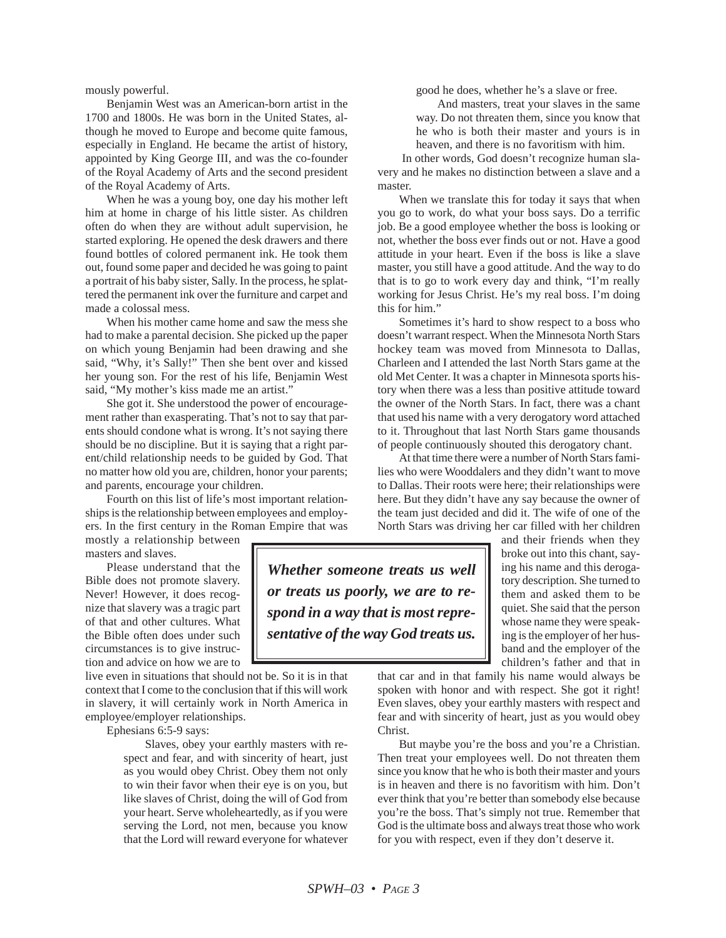mously powerful.

Benjamin West was an American-born artist in the 1700 and 1800s. He was born in the United States, although he moved to Europe and become quite famous, especially in England. He became the artist of history, appointed by King George III, and was the co-founder of the Royal Academy of Arts and the second president of the Royal Academy of Arts.

When he was a young boy, one day his mother left him at home in charge of his little sister. As children often do when they are without adult supervision, he started exploring. He opened the desk drawers and there found bottles of colored permanent ink. He took them out, found some paper and decided he was going to paint a portrait of his baby sister, Sally. In the process, he splattered the permanent ink over the furniture and carpet and made a colossal mess.

When his mother came home and saw the mess she had to make a parental decision. She picked up the paper on which young Benjamin had been drawing and she said, "Why, it's Sally!" Then she bent over and kissed her young son. For the rest of his life, Benjamin West said, "My mother's kiss made me an artist."

She got it. She understood the power of encouragement rather than exasperating. That's not to say that parents should condone what is wrong. It's not saying there should be no discipline. But it is saying that a right parent/child relationship needs to be guided by God. That no matter how old you are, children, honor your parents; and parents, encourage your children.

Fourth on this list of life's most important relationships is the relationship between employees and employers. In the first century in the Roman Empire that was

mostly a relationship between masters and slaves.

Please understand that the Bible does not promote slavery. Never! However, it does recognize that slavery was a tragic part of that and other cultures. What the Bible often does under such circumstances is to give instruction and advice on how we are to

live even in situations that should not be. So it is in that context that I come to the conclusion that if this will work in slavery, it will certainly work in North America in employee/employer relationships.

Ephesians 6:5-9 says:

Slaves, obey your earthly masters with respect and fear, and with sincerity of heart, just as you would obey Christ. Obey them not only to win their favor when their eye is on you, but like slaves of Christ, doing the will of God from your heart. Serve wholeheartedly, as if you were serving the Lord, not men, because you know that the Lord will reward everyone for whatever good he does, whether he's a slave or free.

And masters, treat your slaves in the same way. Do not threaten them, since you know that he who is both their master and yours is in heaven, and there is no favoritism with him.

In other words, God doesn't recognize human slavery and he makes no distinction between a slave and a master.

When we translate this for today it says that when you go to work, do what your boss says. Do a terrific job. Be a good employee whether the boss is looking or not, whether the boss ever finds out or not. Have a good attitude in your heart. Even if the boss is like a slave master, you still have a good attitude. And the way to do that is to go to work every day and think, "I'm really working for Jesus Christ. He's my real boss. I'm doing this for him."

Sometimes it's hard to show respect to a boss who doesn't warrant respect. When the Minnesota North Stars hockey team was moved from Minnesota to Dallas, Charleen and I attended the last North Stars game at the old Met Center. It was a chapter in Minnesota sports history when there was a less than positive attitude toward the owner of the North Stars. In fact, there was a chant that used his name with a very derogatory word attached to it. Throughout that last North Stars game thousands of people continuously shouted this derogatory chant.

At that time there were a number of North Stars families who were Wooddalers and they didn't want to move to Dallas. Their roots were here; their relationships were here. But they didn't have any say because the owner of the team just decided and did it. The wife of one of the North Stars was driving her car filled with her children

*Whether someone treats us well or treats us poorly, we are to respond in a way that is most representative of the way God treats us.*

and their friends when they broke out into this chant, saying his name and this derogatory description. She turned to them and asked them to be quiet. She said that the person whose name they were speaking is the employer of her husband and the employer of the children's father and that in

that car and in that family his name would always be spoken with honor and with respect. She got it right! Even slaves, obey your earthly masters with respect and fear and with sincerity of heart, just as you would obey Christ.

But maybe you're the boss and you're a Christian. Then treat your employees well. Do not threaten them since you know that he who is both their master and yours is in heaven and there is no favoritism with him. Don't ever think that you're better than somebody else because you're the boss. That's simply not true. Remember that God is the ultimate boss and always treat those who work for you with respect, even if they don't deserve it.